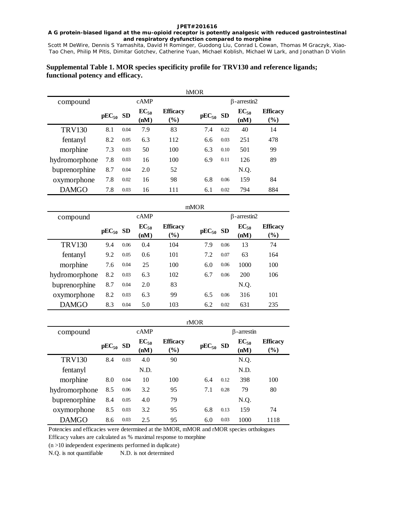# **A G protein-biased ligand at the mu-opioid receptor is potently analgesic with reduced gastrointestinal and respiratory dysfunction compared to morphine**

Scott M DeWire, Dennis S Yamashita, David H Rominger, Guodong Liu, Conrad L Cowan, Thomas M Graczyk, Xiao-Tao Chen, Philip M Pitis, Dimitar Gotchev, Catherine Yuan, Michael Koblish, Michael W Lark, and Jonathan D Violin

# **Supplemental Table 1. MOR species specificity profile for TRV130 and reference ligands; functional potency and efficacy.**

|               |               |      |                   |                           | <b>hMOR</b>   |                    |                   |                           |  |
|---------------|---------------|------|-------------------|---------------------------|---------------|--------------------|-------------------|---------------------------|--|
| compound      |               |      | $c$ AMP           |                           |               | $\beta$ -arrestin2 |                   |                           |  |
|               | $pEC_{50}$ SD |      | $EC_{50}$<br>(nM) | <b>Efficacy</b><br>$(\%)$ | $pEC_{50}$ SD |                    | $EC_{50}$<br>(nM) | <b>Efficacy</b><br>$(\%)$ |  |
| <b>TRV130</b> | 8.1           | 0.04 | 7.9               | 83                        | 7.4           | 0.22               | 40                | 14                        |  |
| fentanyl      | 8.2           | 0.05 | 6.3               | 112                       | 6.6           | 0.03               | 251               | 478                       |  |
| morphine      | 7.3           | 0.03 | 50                | 100                       | 6.3           | 0.10               | 501               | 99                        |  |
| hydromorphone | 7.8           | 0.03 | 16                | 100                       | 6.9           | 0.11               | 126               | 89                        |  |
| buprenorphine | 8.7           | 0.04 | 2.0               | 52                        |               |                    | N.Q.              |                           |  |
| oxymorphone   | 7.8           | 0.02 | 16                | 98                        | 6.8           | 0.06               | 159               | 84                        |  |
| <b>DAMGO</b>  | 7.8           | 0.03 | 16                | 111                       | 6.1           | 0.02               | 794               | 884                       |  |

|               |               |      |                   |                           | mMOR          |                    |                   |                           |  |
|---------------|---------------|------|-------------------|---------------------------|---------------|--------------------|-------------------|---------------------------|--|
| compound      |               |      | cAMP              |                           |               | $\beta$ -arrestin2 |                   |                           |  |
|               | $pEC_{50}$ SD |      | $EC_{50}$<br>(nM) | <b>Efficacy</b><br>$(\%)$ | $pEC_{50}$ SD |                    | $EC_{50}$<br>(nM) | <b>Efficacy</b><br>$(\%)$ |  |
| <b>TRV130</b> | 9.4           | 0.06 | 0.4               | 104                       | 7.9           | 0.06               | 13                | 74                        |  |
| fentanyl      | 9.2           | 0.05 | 0.6               | 101                       | 7.2           | 0.07               | 63                | 164                       |  |
| morphine      | 7.6           | 0.04 | 25                | 100                       | 6.0           | 0.06               | 1000              | 100                       |  |
| hydromorphone | 8.2           | 0.03 | 6.3               | 102                       | 6.7           | 0.06               | 200               | 106                       |  |
| buprenorphine | 8.7           | 0.04 | 2.0               | 83                        |               |                    | N.Q.              |                           |  |
| oxymorphone   | 8.2           | 0.03 | 6.3               | 99                        | 6.5           | 0.06               | 316               | 101                       |  |
| <b>DAMGO</b>  | 8.3           | 0.04 | 5.0               | 103                       | 6.2           | 0.02               | 631               | 235                       |  |

|               |               |      |                   |                           | rMOR          |                   |                   |                                                 |  |
|---------------|---------------|------|-------------------|---------------------------|---------------|-------------------|-------------------|-------------------------------------------------|--|
| compound      | cAMP          |      |                   |                           |               | $\beta$ -arrestin |                   |                                                 |  |
|               | $pEC_{50}$ SD |      | $EC_{50}$<br>(nM) | <b>Efficacy</b><br>$(\%)$ | $pEC_{50}$ SD |                   | $EC_{50}$<br>(nM) | <b>Efficacy</b><br>$\left( \frac{6}{6} \right)$ |  |
| <b>TRV130</b> | 8.4           | 0.03 | 4.0               | 90                        |               |                   | N.Q.              |                                                 |  |
| fentanyl      |               |      | N.D.              |                           |               |                   | N.D.              |                                                 |  |
| morphine      | 8.0           | 0.04 | 10                | 100                       | 6.4           | 0.12              | 398               | 100                                             |  |
| hydromorphone | 8.5           | 0.06 | 3.2               | 95                        | 7.1           | 0.28              | 79                | 80                                              |  |
| buprenorphine | 8.4           | 0.05 | 4.0               | 79                        |               |                   | N.Q.              |                                                 |  |
| oxymorphone   | 8.5           | 0.03 | 3.2               | 95                        | 6.8           | 0.13              | 159               | 74                                              |  |
| <b>DAMGO</b>  | 8.6           | 0.03 | 2.5               | 95                        | 6.0           | 0.03              | 1000              | 1118                                            |  |

Potencies and efficacies were determined at the hMOR, mMOR and rMOR species orthologues Efficacy values are calculated as % maximal response to morphine

(n >10 independent experiments performed in duplicate)

N.Q. is not quantifiable N.D. is not determined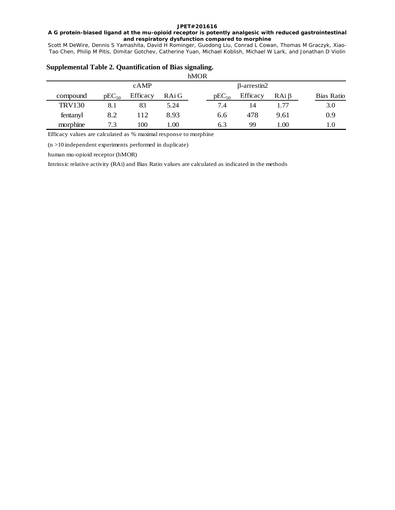# **A G protein-biased ligand at the mu-opioid receptor is potently analgesic with reduced gastrointestinal and respiratory dysfunction compared to morphine**

Scott M DeWire, Dennis S Yamashita, David H Rominger, Guodong Liu, Conrad L Cowan, Thomas M Graczyk, Xiao-Tao Chen, Philip M Pitis, Dimitar Gotchev, Catherine Yuan, Michael Koblish, Michael W Lark, and Jonathan D Violin

|               | <b>THVIOR</b> |          |       |  |            |                    |            |            |  |  |
|---------------|---------------|----------|-------|--|------------|--------------------|------------|------------|--|--|
|               |               | cAMP     |       |  |            | $\beta$ -arrestin2 |            |            |  |  |
| compound      | $pEC_{50}$    | Efficacy | RAi G |  | $pEC_{50}$ | Efficacy           | $RAi\beta$ | Bias Ratio |  |  |
| <b>TRV130</b> | 8.1           | 83       | 5.24  |  | 7.4        | 14                 | 1.77       | 3.0        |  |  |
| fentanyl      | 8.2           | 112      | 8.93  |  | 6.6        | 478                | 9.61       | 0.9        |  |  |
| morphine      | 7.3           | 100      | .00   |  | 6.3        | 99                 | 1.00       | 1.0        |  |  |

#### **Supplemental Table 2. Quantification of Bias signaling.**  $h$ <sub>1</sub> $\Omega$

Efficacy values are calculated as % maximal response to morphine

(n >10 independent experiments performed in duplicate)

human mu-opioid receptor (hMOR)

Intrinsic relative activity (RAi) and Bias Ratio values are calculated as indicated in the methods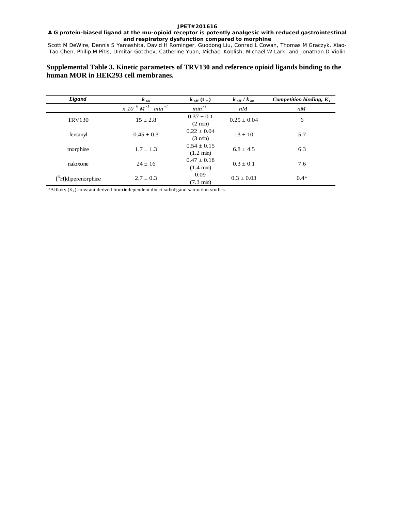### **A G protein-biased ligand at the mu-opioid receptor is potently analgesic with reduced gastrointestinal and respiratory dysfunction compared to morphine**

Scott M DeWire, Dennis S Yamashita, David H Rominger, Guodong Liu, Conrad L Cowan, Thomas M Graczyk, Xiao-Tao Chen, Philip M Pitis, Dimitar Gotchev, Catherine Yuan, Michael Koblish, Michael W Lark, and Jonathan D Violin

# **Supplemental Table 3. Kinetic parameters of TRV130 and reference opioid ligands binding to the human MOR in HEK293 cell membranes.**

| Ligand                            | $k_{on}$                                                                    | $k_{off}$ (t <sub>1/2</sub> )        | $k_{\text{off}}/k_{\text{on}}$ | Competition binding, $K_i$ |
|-----------------------------------|-----------------------------------------------------------------------------|--------------------------------------|--------------------------------|----------------------------|
|                                   | $\overline{X}$ 10 $\overline{S}$ $\overline{M}$ <sup>-1</sup><br>$min^{-1}$ | $min^{-1}$                           | nM                             | nM                         |
| <b>TRV130</b>                     | $15 \pm 2.8$                                                                | $0.37 \pm 0.1$<br>$(2 \text{ min})$  | $0.25 \pm 0.04$                | 6                          |
| fentanyl                          | $0.45 + 0.3$                                                                | $0.22 + 0.04$<br>$(3 \text{ min})$   | $13 \pm 10$                    | 5.7                        |
| morphine                          | $1.7 \pm 1.3$                                                               | $0.54 + 0.15$<br>$(1.2 \text{ min})$ | $6.8 \pm 4.5$                  | 6.3                        |
| naloxone                          | $24 \pm 16$                                                                 | $0.47 + 0.18$<br>$(1.4 \text{ min})$ | $0.3 \pm 0.1$                  | 7.6                        |
| $[$ <sup>3</sup> H]diperenorphine | $2.7 \pm 0.3$                                                               | 0.09<br>$(7.3 \text{ min})$          | $0.3 \pm 0.03$                 | $0.4*$                     |

 $*$ Affinity ( $K_d$ ) constant derived from independent direct radioligand saturation studies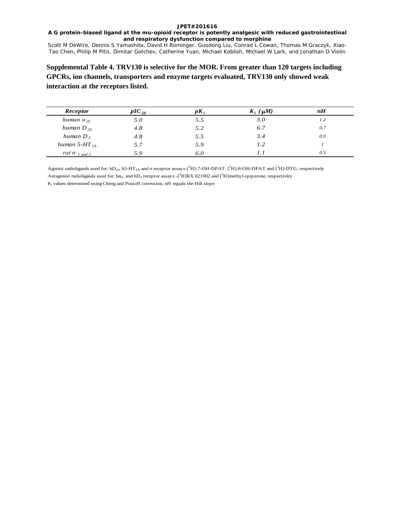# **A G protein-biased ligand at the mu-opioid receptor is potently analgesic with reduced gastrointestinal and respiratory dysfunction compared to morphine**

Scott M DeWire, Dennis S Yamashita, David H Rominger, Guodong Liu, Conrad L Cowan, Thomas M Graczyk, Xiao-Tao Chen, Philip M Pitis, Dimitar Gotchev, Catherine Yuan, Michael Koblish, Michael W Lark, and Jonathan D Violin

# **Supplemental Table 4. TRV130 is selective for the MOR. From greater than 120 targets including GPCRs, ion channels, transporters and enzyme targets evaluated, TRV130 only showed weak interaction at the receptors listed.**

| Receptor                        | $pIC_{50}$ | $pK_i$ | $K_i$ ( $\mu$ <i>M</i> ) | nH  |
|---------------------------------|------------|--------|--------------------------|-----|
| human $\alpha_{2C}$             | 5.0        | 5.5    | 3.O                      | 1.2 |
| human $D_{2S}$                  | 4.8        | 5.2    | 6.7                      | 0.7 |
| human $D_3$                     | 4.8        | 5.5    | 3.4                      | 0.9 |
| human 5-HT $_{14}$              | 5.7        | 5.9    | 1.2                      |     |
| rat $\sigma$ <sub>1 and 2</sub> | 5.9        | 6.0    |                          | 0.5 |

Agonist radioligands used for; hD<sub>2S</sub>, h5-HT<sub>1A</sub> and  $\sigma$  receptor assay s-[<sup>3</sup>H]-7-OH-DPAT, [<sup>3</sup>H]-8-OH-DPAT and [<sup>3</sup>H]-DTG, respectively Antagonist radioligands used for; ha<sub>2c</sub> and hD<sub>3</sub> receptor assays  $-\binom{3}{1}RX$  821002 and  $\binom{3}{1}$ methyl-spiperone, respectivley Ki values determined using Cheng and Prusoff correction, *nH* equals the Hill slope